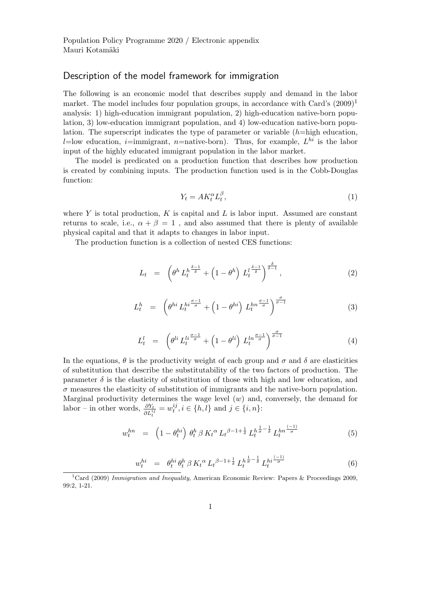## Description of the model framework for immigration

The following is an economic model that describes supply and demand in the labor market. The model includes four population groups, in accordance with Card's  $(2009)^1$ analysis: 1) high-education immigrant population, 2) high-education native-born population, 3) low-education immigrant population, and 4) low-education native-born population. The superscript indicates the type of parameter or variable  $(h=high\; education,$ l=low education, *i*=immigrant, *n*=native-born). Thus, for example,  $L^{hi}$  is the labor input of the highly educated immigrant population in the labor market.

The model is predicated on a production function that describes how production is created by combining inputs. The production function used is in the Cobb-Douglas function:

$$
Y_t = A K_t^{\alpha} L_t^{\beta},\tag{1}
$$

where Y is total production, K is capital and L is labor input. Assumed are constant returns to scale, i.e.,  $\alpha + \beta = 1$ , and also assumed that there is plenty of available physical capital and that it adapts to changes in labor input.

The production function is a collection of nested CES functions:

$$
L_t = \left(\theta^h L_t^h^{\frac{\delta - 1}{\delta}} + \left(1 - \theta^h\right) L_t^h^{\frac{\delta - 1}{\delta}}\right)^{\frac{\delta}{\delta - 1}},\tag{2}
$$

$$
L_t^h = \left(\theta^{hi} L_t^{hi \frac{\sigma - 1}{\sigma}} + \left(1 - \theta^{hi}\right) L_t^{hn \frac{\sigma - 1}{\sigma}}\right)^{\frac{\sigma}{\sigma - 1}}
$$
(3)

$$
L_t^l = \left(\theta^{li} L_t^{li\frac{\sigma-1}{\sigma}} + \left(1 - \theta^{li}\right) L_t^{ln\frac{\sigma-1}{\sigma}}\right)^{\frac{\sigma}{\sigma-1}}
$$
(4)

In the equations,  $\theta$  is the productivity weight of each group and  $\sigma$  and  $\delta$  are elasticities of substitution that describe the substitutability of the two factors of production. The parameter  $\delta$  is the elasticity of substitution of those with high and low education, and  $\sigma$  measures the elasticity of substitution of immigrants and the native-born population. Marginal productivity determines the wage level  $(w)$  and, conversely, the demand for labor – in other words,  $\frac{\partial Y_t}{\partial L_t^{ij}} = w_t^{ij}$  $t_i^{ij}, i \in \{h, l\}$  and  $j \in \{i, n\}$ :

$$
w_t^{hn} = \left(1 - \theta_t^{hi}\right) \theta_t^h \beta K_t^{\alpha} L_t^{\beta - 1 + \frac{1}{\delta}} L_t^{h \frac{1}{\sigma} - \frac{1}{\delta}} L_t^{hn \frac{(-1)}{\sigma}}
$$
(5)

$$
w_t^{hi} = \theta_t^{hi} \theta_t^h \beta K_t^{\alpha} L_t^{\beta - 1 + \frac{1}{\delta}} L_t^{h \frac{1}{\sigma} - \frac{1}{\delta}} L_t^{hi \frac{(-1)}{\sigma}}
$$
(6)

<sup>&</sup>lt;sup>1</sup>Card (2009) *Immigration and Inequality*, American Economic Review: Papers & Proceedings 2009, 99:2, 1-21.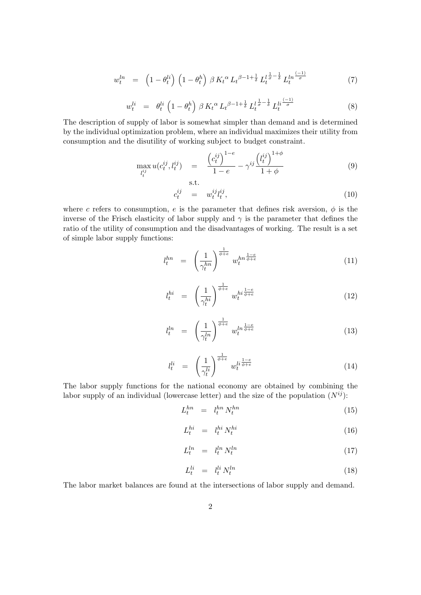$$
w_t^{ln} = \left(1 - \theta_t^{li}\right) \left(1 - \theta_t^h\right) \beta K_t^{\alpha} L_t^{\beta - 1 + \frac{1}{\delta}} L_t^{l \frac{1}{\sigma} - \frac{1}{\delta}} L_t^{ln \frac{(-1)}{\sigma}}
$$
(7)

$$
w_t^{li} = \theta_t^{li} \left( 1 - \theta_t^h \right) \beta K_t^{\alpha} L_t^{\beta - 1 + \frac{1}{\delta}} L_t^{l \frac{1}{\sigma} - \frac{1}{\delta}} L_t^{li \frac{(-1)}{\sigma}}
$$
 (8)

The description of supply of labor is somewhat simpler than demand and is determined by the individual optimization problem, where an individual maximizes their utility from consumption and the disutility of working subject to budget constraint.

$$
\max_{l_t^{ij}} u(c_t^{ij}, l_t^{ij}) = \frac{(c_t^{ij})^{1-e}}{1-e} - \gamma^{ij} \frac{(l_t^{ij})^{1+\phi}}{1+\phi}
$$
(9)

$$
c_t^{ij} = w_t^{ij} l_t^{ij}, \qquad (10)
$$

where c refers to consumption, e is the parameter that defines risk aversion,  $\phi$  is the inverse of the Frisch elasticity of labor supply and  $\gamma$  is the parameter that defines the ratio of the utility of consumption and the disadvantages of working. The result is a set of simple labor supply functions:

s.t.

$$
l_t^{hn} = \left(\frac{1}{\gamma_t^{hn}}\right)^{\frac{1}{\phi+e}} w_t^{hn\frac{1-e}{\phi+e}} \tag{11}
$$

$$
l_t^{hi} = \left(\frac{1}{\gamma_t^{hi}}\right)^{\frac{1}{\phi+e}} w_t^{hi \frac{1-e}{\phi+e}} \tag{12}
$$

$$
l_t^{ln} = \left(\frac{1}{\gamma_t^{ln}}\right)^{\frac{1}{\phi+e}} w_t^{ln\frac{1-e}{\phi+e}}
$$
\n(13)

$$
l_t^{li} = \left(\frac{1}{\gamma_t^{li}}\right)^{\frac{1}{\phi+e}} w_t^{li\frac{1-e}{\phi+e}} \tag{14}
$$

The labor supply functions for the national economy are obtained by combining the labor supply of an individual (lowercase letter) and the size of the population  $(N^{ij})$ :

$$
L_t^{hn} = l_t^{hn} N_t^{hn} \tag{15}
$$

$$
L_t^{hi} = l_t^{hi} N_t^{hi} \tag{16}
$$

$$
L_t^{ln} = l_t^{ln} N_t^{ln} \tag{17}
$$

$$
L_t^{li} = l_t^{li} N_t^{ln} \tag{18}
$$

The labor market balances are found at the intersections of labor supply and demand.